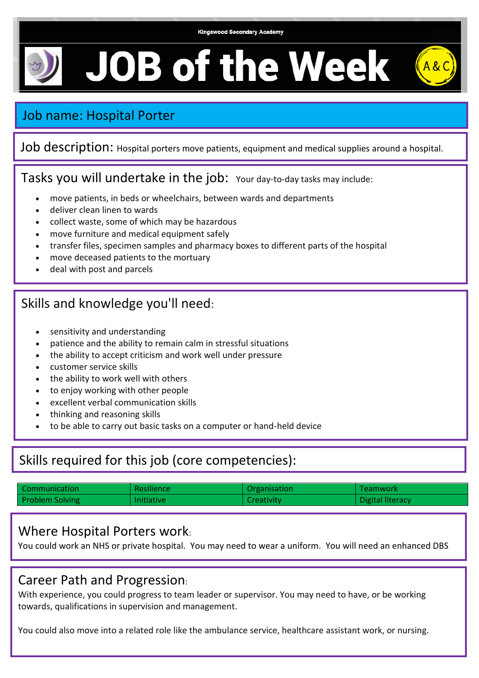#### **Kingswood Secondary Academy**

 $\parallel$  A & C

# **JOB of the Week**

# Job name: Hospital Porter

Job description: Hospital porters move patients, equipment and medical supplies around a hospital.

Tasks you will undertake in the job: Your day-to-day tasks may include:

- move patients, in beds or wheelchairs, between wards and departments
- deliver clean linen to wards
- collect waste, some of which may be hazardous
- move furniture and medical equipment safely
- transfer files, specimen samples and pharmacy boxes to different parts of the hospital
- move deceased patients to the mortuary
- deal with post and parcels

# Skills and knowledge you'll need:

- sensitivity and understanding
- patience and the ability to remain calm in stressful situations
- the ability to accept criticism and work well under pressure
- customer service skills
- the ability to work well with others
- to enjoy working with other people
- excellent verbal communication skills
- thinking and reasoning skills
- to be able to carry out basic tasks on a computer or hand-held device

# Skills required for this job (core competencies):

| Communication          | <b>Resilience</b> | Organisation | Teamwork         |
|------------------------|-------------------|--------------|------------------|
| <b>Problem Solving</b> | Initiative        | Creativity   | Digital literacy |

### Where Hospital Porters work:

You could work an NHS or private hospital. You may need to wear a uniform. You will need an enhanced DBS

### Career Path and Progression:

With experience, you could progress to team leader or supervisor. You may need to have, or be working towards, qualifications in supervision and management.

You could also move into a related role like the ambulance service, healthcare assistant work, or nursing.